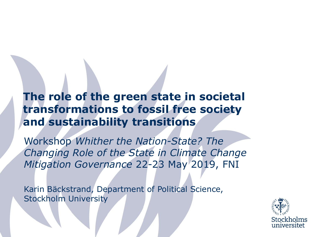#### **The role of the green state in societal transformations to fossil free society and sustainability transitions**

Workshop *Whither the Nation-State? The Changing Role of the State in Climate Change Mitigation Governance* 22-23 May 2019, FNI

Karin Bäckstrand, Department of Political Science, Stockholm University

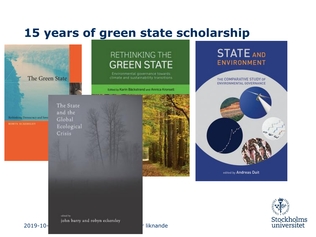#### **15 years of green state scholarship**

The Green State

#### RETHINKING THE **GREEN STATE**

Environmental governance towards climate and sustainability transitions.

Edited by Karlin Bäckstrand and Annica Kronsell

Rethinking Democracy and Sove

The State and the Global Ecological Crisis







advect by john barry and robyn eckersley

#### 2019-10-14 /Namn Namn, Institution eller liknande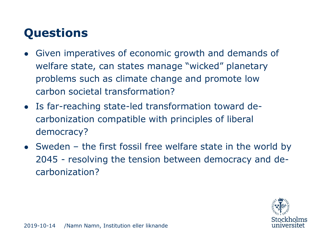# **Questions**

- Given imperatives of economic growth and demands of welfare state, can states manage "wicked" planetary problems such as climate change and promote low carbon societal transformation?
- Is far-reaching state-led transformation toward decarbonization compatible with principles of liberal democracy?
- Sweden the first fossil free welfare state in the world by 2045 - resolving the tension between democracy and decarbonization?

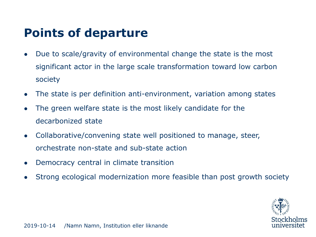#### **Points of departure**

- Due to scale/gravity of environmental change the state is the most significant actor in the large scale transformation toward low carbon society
- The state is per definition anti-environment, variation among states
- The green welfare state is the most likely candidate for the decarbonized state
- Collaborative/convening state well positioned to manage, steer, orchestrate non-state and sub-state action
- Democracy central in climate transition
- Strong ecological modernization more feasible than post growth society

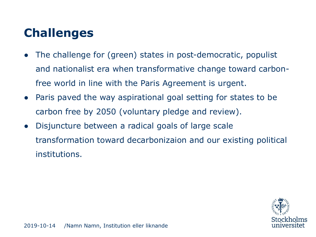# **Challenges**

- The challenge for (green) states in post-democratic, populist and nationalist era when transformative change toward carbonfree world in line with the Paris Agreement is urgent.
- Paris paved the way aspirational goal setting for states to be carbon free by 2050 (voluntary pledge and review).
- Disjuncture between a radical goals of large scale transformation toward decarbonizaion and our existing political institutions.

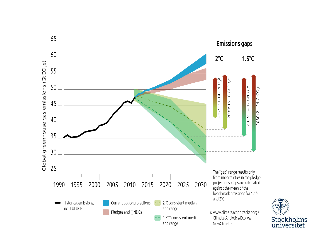

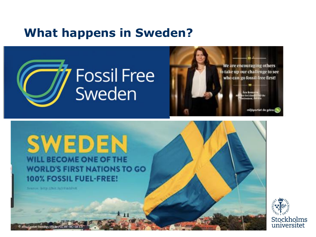#### **What happens in Sweden?**





SWEDEN WILL BECOME ONE OF THE **WORLD'S FIRST NATIONS TO GO** 100% FOSSIL FUEL-FREE!

2019-10-14 /Namn Namn, Institution eller liknande

 $*11$ 

Seator http://bit.ly/iVmhlvK

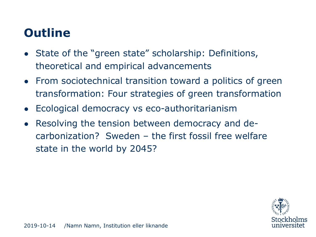# **Outline**

- State of the "green state" scholarship: Definitions, theoretical and empirical advancements
- From sociotechnical transition toward a politics of green transformation: Four strategies of green transformation
- Ecological democracy vs eco-authoritarianism
- Resolving the tension between democracy and decarbonization? Sweden – the first fossil free welfare state in the world by 2045?

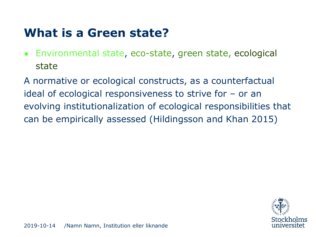#### **What is a Green state?**

• Environmental state, eco-state, green state, ecological state

A normative or ecological constructs, as a counterfactual ideal of ecological responsiveness to strive for – or an evolving institutionalization of ecological responsibilities that can be empirically assessed (Hildingsson and Khan 2015)

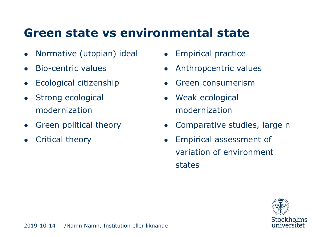#### **Green state vs environmental state**

- Normative (utopian) ideal
- Bio-centric values
- Ecological citizenship
- Strong ecological modernization
- Green political theory
- Critical theory
- Empirical practice
- Anthropcentric values
- Green consumerism
- Weak ecological modernization
- Comparative studies, large n
- Empirical assessment of variation of environment states

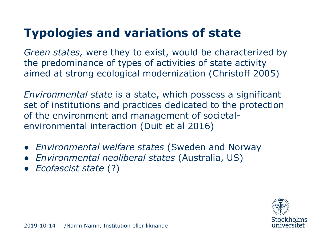# **Typologies and variations of state**

*Green states,* were they to exist, would be characterized by the predominance of types of activities of state activity aimed at strong ecological modernization (Christoff 2005)

*Environmental state* is a state, which possess a significant set of institutions and practices dedicated to the protection of the environment and management of societalenvironmental interaction (Duit et al 2016)

- *Environmental welfare states* (Sweden and Norway
- *Environmental neoliberal states* (Australia, US)
- *Ecofascist state* (?)

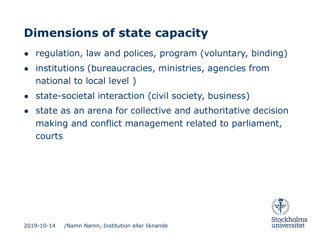### **Dimensions of state capacity**

- regulation, law and polices, program (voluntary, binding)
- institutions (bureaucracies, ministries, agencies from national to local level )
- state-societal interaction (civil society, business)
- state as an arena for collective and authoritative decision making and conflict management related to parliament, courts

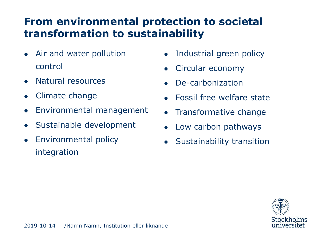#### **From environmental protection to societal transformation to sustainability**

- Air and water pollution control
- Natural resources
- Climate change
- Environmental management
- Sustainable development
- Environmental policy integration
- Industrial green policy
- Circular economy
- De-carbonization
- Fossil free welfare state
- Transformative change
- Low carbon pathways
- **Sustainability transition**

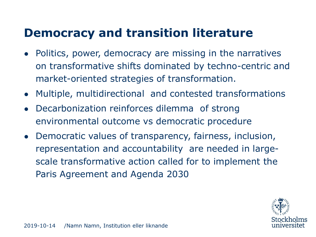#### **Democracy and transition literature**

- Politics, power, democracy are missing in the narratives on transformative shifts dominated by techno-centric and market-oriented strategies of transformation.
- Multiple, multidirectional and contested transformations
- Decarbonization reinforces dilemma of strong environmental outcome vs democratic procedure
- Democratic values of transparency, fairness, inclusion, representation and accountability are needed in largescale transformative action called for to implement the Paris Agreement and Agenda 2030

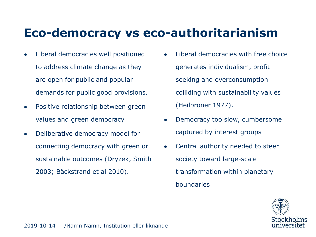#### **Eco-democracy vs eco-authoritarianism**

- Liberal democracies well positioned to address climate change as they are open for public and popular demands for public good provisions.
- Positive relationship between green values and green democracy
- Deliberative democracy model for connecting democracy with green or sustainable outcomes (Dryzek, Smith 2003; Bäckstrand et al 2010).
- Liberal democracies with free choice generates individualism, profit seeking and overconsumption colliding with sustainability values (Heilbroner 1977).
- Democracy too slow, cumbersome captured by interest groups
- Central authority needed to steer society toward large-scale transformation within planetary boundaries

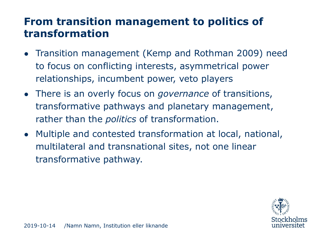#### **From transition management to politics of transformation**

- Transition management (Kemp and Rothman 2009) need to focus on conflicting interests, asymmetrical power relationships, incumbent power, veto players
- There is an overly focus on *governance* of transitions, transformative pathways and planetary management, rather than the *politics* of transformation.
- Multiple and contested transformation at local, national, multilateral and transnational sites, not one linear transformative pathway.

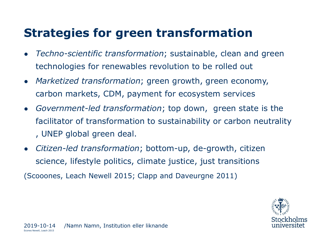#### **Strategies for green transformation**

- *Techno-scientific transformation*; sustainable, clean and green technologies for renewables revolution to be rolled out
- *Marketized transformation*; green growth, green economy, carbon markets, CDM, payment for ecosystem services
- *Government-led transformation*; top down, green state is the facilitator of transformation to sustainability or carbon neutrality , UNEP global green deal.
- *Citizen-led transformation*; bottom-up, de-growth, citizen science, lifestyle politics, climate justice, just transitions

(Scooones, Leach Newell 2015; Clapp and Daveurgne 2011)

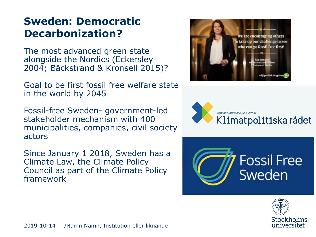#### **Sweden: Democratic Decarbonization?**

The most advanced green state alongside the Nordics (Eckersley 2004; Bäckstrand & Kronsell 2015)?

Goal to be first fossil free welfare state in the world by 2045

Fossil-free Sweden- government-led stakeholder mechanism with 400 municipalities, companies, civil society actors

Since January 1 2018, Sweden has a Climate Law, the Climate Policy Council as part of the Climate Policy framework







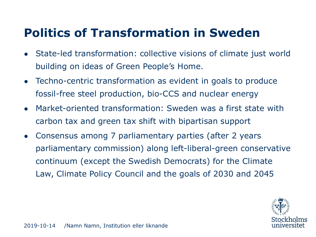## **Politics of Transformation in Sweden**

- State-led transformation: collective visions of climate just world building on ideas of Green People's Home.
- Techno-centric transformation as evident in goals to produce fossil-free steel production, bio-CCS and nuclear energy
- Market-oriented transformation: Sweden was a first state with carbon tax and green tax shift with bipartisan support
- Consensus among 7 parliamentary parties (after 2 years parliamentary commission) along left-liberal-green conservative continuum (except the Swedish Democrats) for the Climate Law, Climate Policy Council and the goals of 2030 and 2045

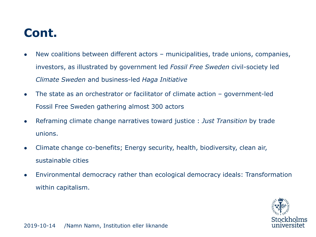## **Cont.**

- New coalitions between different actors municipalities, trade unions, companies, investors, as illustrated by government led *Fossil Free Sweden* civil-society led *Climate Sweden* and business-led *Haga Initiative*
- The state as an orchestrator or facilitator of climate action government-led Fossil Free Sweden gathering almost 300 actors
- Reframing climate change narratives toward justice : *Just Transition* by trade unions.
- Climate change co-benefits; Energy security, health, biodiversity, clean air, sustainable cities
- Environmental democracy rather than ecological democracy ideals: Transformation within capitalism.

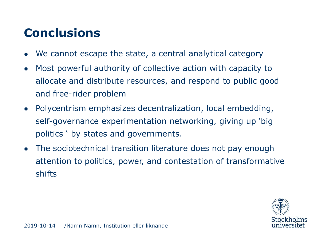# **Conclusions**

- We cannot escape the state, a central analytical category
- Most powerful authority of collective action with capacity to allocate and distribute resources, and respond to public good and free-rider problem
- Polycentrism emphasizes decentralization, local embedding, self-governance experimentation networking, giving up 'big politics ' by states and governments.
- The sociotechnical transition literature does not pay enough attention to politics, power, and contestation of transformative shifts